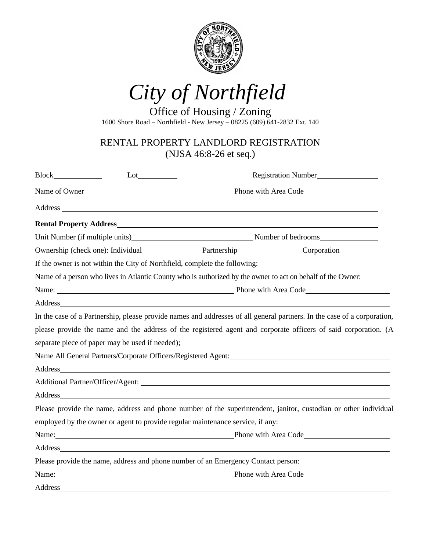

*City of Northfield*

Office of Housing / Zoning 1600 Shore Road – Northfield - New Jersey – 08225 (609) 641-2832 Ext. 140

## RENTAL PROPERTY LANDLORD REGISTRATION (NJSA 46:8-26 et seq.)

|                                                 | Registration Number<br>Lot                                                                                                                                                                                                          |                                                                                                                                                                                                                                |                                                                                                                                                                                                                               |  |
|-------------------------------------------------|-------------------------------------------------------------------------------------------------------------------------------------------------------------------------------------------------------------------------------------|--------------------------------------------------------------------------------------------------------------------------------------------------------------------------------------------------------------------------------|-------------------------------------------------------------------------------------------------------------------------------------------------------------------------------------------------------------------------------|--|
|                                                 |                                                                                                                                                                                                                                     |                                                                                                                                                                                                                                |                                                                                                                                                                                                                               |  |
|                                                 |                                                                                                                                                                                                                                     |                                                                                                                                                                                                                                |                                                                                                                                                                                                                               |  |
|                                                 |                                                                                                                                                                                                                                     |                                                                                                                                                                                                                                |                                                                                                                                                                                                                               |  |
|                                                 |                                                                                                                                                                                                                                     |                                                                                                                                                                                                                                |                                                                                                                                                                                                                               |  |
|                                                 |                                                                                                                                                                                                                                     |                                                                                                                                                                                                                                | Ownership (check one): Individual Partnership Corporation Comporation                                                                                                                                                         |  |
|                                                 |                                                                                                                                                                                                                                     | If the owner is not within the City of Northfield, complete the following:                                                                                                                                                     |                                                                                                                                                                                                                               |  |
|                                                 |                                                                                                                                                                                                                                     | Name of a person who lives in Atlantic County who is authorized by the owner to act on behalf of the Owner:                                                                                                                    |                                                                                                                                                                                                                               |  |
|                                                 | Name: <u>Name:</u> Name: Name: Name: Name: Name: Name: Name: Name: Name: Name: Name: Name: Name: Name: Name: Name: Name: Name: Name: Name: Name: Name: Name: Name: Name: Name: Name: Name: Name: Name: Name: Name: Name: Name: Name |                                                                                                                                                                                                                                |                                                                                                                                                                                                                               |  |
|                                                 |                                                                                                                                                                                                                                     |                                                                                                                                                                                                                                |                                                                                                                                                                                                                               |  |
|                                                 |                                                                                                                                                                                                                                     |                                                                                                                                                                                                                                | In the case of a Partnership, please provide names and addresses of all general partners. In the case of a corporation,                                                                                                       |  |
|                                                 |                                                                                                                                                                                                                                     |                                                                                                                                                                                                                                | please provide the name and the address of the registered agent and corporate officers of said corporation. (A                                                                                                                |  |
| separate piece of paper may be used if needed); |                                                                                                                                                                                                                                     |                                                                                                                                                                                                                                |                                                                                                                                                                                                                               |  |
|                                                 |                                                                                                                                                                                                                                     |                                                                                                                                                                                                                                | Name All General Partners/Corporate Officers/Registered Agent:                                                                                                                                                                |  |
|                                                 |                                                                                                                                                                                                                                     |                                                                                                                                                                                                                                |                                                                                                                                                                                                                               |  |
|                                                 |                                                                                                                                                                                                                                     |                                                                                                                                                                                                                                |                                                                                                                                                                                                                               |  |
|                                                 |                                                                                                                                                                                                                                     | Address and the contract of the contract of the contract of the contract of the contract of the contract of the contract of the contract of the contract of the contract of the contract of the contract of the contract of th |                                                                                                                                                                                                                               |  |
|                                                 |                                                                                                                                                                                                                                     |                                                                                                                                                                                                                                | Please provide the name, address and phone number of the superintendent, janitor, custodian or other individual                                                                                                               |  |
|                                                 |                                                                                                                                                                                                                                     | employed by the owner or agent to provide regular maintenance service, if any:                                                                                                                                                 |                                                                                                                                                                                                                               |  |
|                                                 |                                                                                                                                                                                                                                     |                                                                                                                                                                                                                                | Name: Name: Name: Name: Name: Name: Name: Name: Name: Name: Name: Name: Name: Name: Name: Name: Name: Name: Name: Name: Name: Name: Name: Name: Name: Name: Name: Name: Name: Name: Name: Name: Name: Name: Name: Name: Name: |  |
|                                                 |                                                                                                                                                                                                                                     |                                                                                                                                                                                                                                |                                                                                                                                                                                                                               |  |
|                                                 |                                                                                                                                                                                                                                     | Please provide the name, address and phone number of an Emergency Contact person:                                                                                                                                              |                                                                                                                                                                                                                               |  |
|                                                 | Name: Phone with Area Code                                                                                                                                                                                                          |                                                                                                                                                                                                                                |                                                                                                                                                                                                                               |  |
| <b>Address</b>                                  |                                                                                                                                                                                                                                     |                                                                                                                                                                                                                                |                                                                                                                                                                                                                               |  |